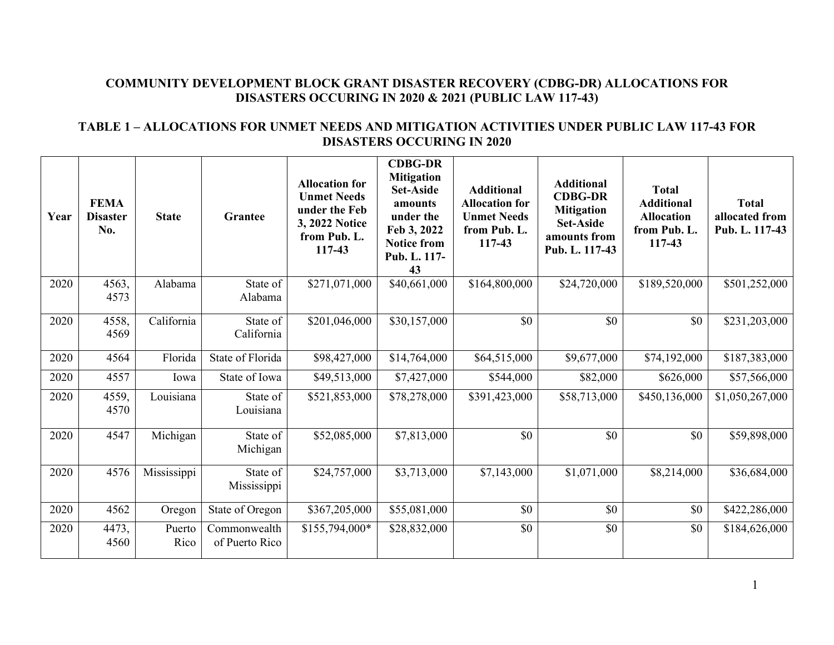### **COMMUNITY DEVELOPMENT BLOCK GRANT DISASTER RECOVERY (CDBG-DR) ALLOCATIONS FOR DISASTERS OCCURING IN 2020 & 2021 (PUBLIC LAW 117-43)**

#### **TABLE 1 – ALLOCATIONS FOR UNMET NEEDS AND MITIGATION ACTIVITIES UNDER PUBLIC LAW 117-43 FOR DISASTERS OCCURING IN 2020**

| Year | <b>FEMA</b><br><b>Disaster</b><br>No. | <b>State</b>   | <b>Grantee</b>                 | <b>Allocation for</b><br><b>Unmet Needs</b><br>under the Feb<br>3, 2022 Notice<br>from Pub. L.<br>117-43 | <b>CDBG-DR</b><br><b>Mitigation</b><br><b>Set-Aside</b><br>amounts<br>under the<br>Feb 3, 2022<br><b>Notice from</b><br>Pub. L. 117-<br>43 | <b>Additional</b><br><b>Allocation for</b><br><b>Unmet Needs</b><br>from Pub. L.<br>117-43 | <b>Additional</b><br><b>CDBG-DR</b><br><b>Mitigation</b><br><b>Set-Aside</b><br>amounts from<br>Pub. L. 117-43 | <b>Total</b><br><b>Additional</b><br><b>Allocation</b><br>from Pub. L.<br>117-43 | <b>Total</b><br>allocated from<br>Pub. L. 117-43 |
|------|---------------------------------------|----------------|--------------------------------|----------------------------------------------------------------------------------------------------------|--------------------------------------------------------------------------------------------------------------------------------------------|--------------------------------------------------------------------------------------------|----------------------------------------------------------------------------------------------------------------|----------------------------------------------------------------------------------|--------------------------------------------------|
| 2020 | 4563,<br>4573                         | Alabama        | State of<br>Alabama            | \$271,071,000                                                                                            | \$40,661,000                                                                                                                               | \$164,800,000                                                                              | \$24,720,000                                                                                                   | \$189,520,000                                                                    | \$501,252,000                                    |
| 2020 | 4558,<br>4569                         | California     | State of<br>California         | \$201,046,000                                                                                            | \$30,157,000                                                                                                                               | $\overline{50}$                                                                            | $\overline{50}$                                                                                                | \$0                                                                              | \$231,203,000                                    |
| 2020 | 4564                                  | Florida        | State of Florida               | \$98,427,000                                                                                             | \$14,764,000                                                                                                                               | \$64,515,000                                                                               | \$9,677,000                                                                                                    | \$74,192,000                                                                     | \$187,383,000                                    |
| 2020 | 4557                                  | Iowa           | State of Iowa                  | \$49,513,000                                                                                             | \$7,427,000                                                                                                                                | \$544,000                                                                                  | \$82,000                                                                                                       | \$626,000                                                                        | \$57,566,000                                     |
| 2020 | 4559,<br>4570                         | Louisiana      | State of<br>Louisiana          | \$521,853,000                                                                                            | \$78,278,000                                                                                                                               | \$391,423,000                                                                              | \$58,713,000                                                                                                   | \$450,136,000                                                                    | \$1,050,267,000                                  |
| 2020 | 4547                                  | Michigan       | State of<br>Michigan           | \$52,085,000                                                                                             | \$7,813,000                                                                                                                                | \$0                                                                                        | \$0                                                                                                            | \$0                                                                              | \$59,898,000                                     |
| 2020 | 4576                                  | Mississippi    | State of<br>Mississippi        | \$24,757,000                                                                                             | \$3,713,000                                                                                                                                | \$7,143,000                                                                                | \$1,071,000                                                                                                    | \$8,214,000                                                                      | \$36,684,000                                     |
| 2020 | 4562                                  | Oregon         | State of Oregon                | \$367,205,000                                                                                            | \$55,081,000                                                                                                                               | \$0                                                                                        | \$0                                                                                                            | \$0                                                                              | \$422,286,000                                    |
| 2020 | 4473,<br>4560                         | Puerto<br>Rico | Commonwealth<br>of Puerto Rico | \$155,794,000*                                                                                           | \$28,832,000                                                                                                                               | \$0                                                                                        | \$0                                                                                                            | \$0                                                                              | \$184,626,000                                    |

1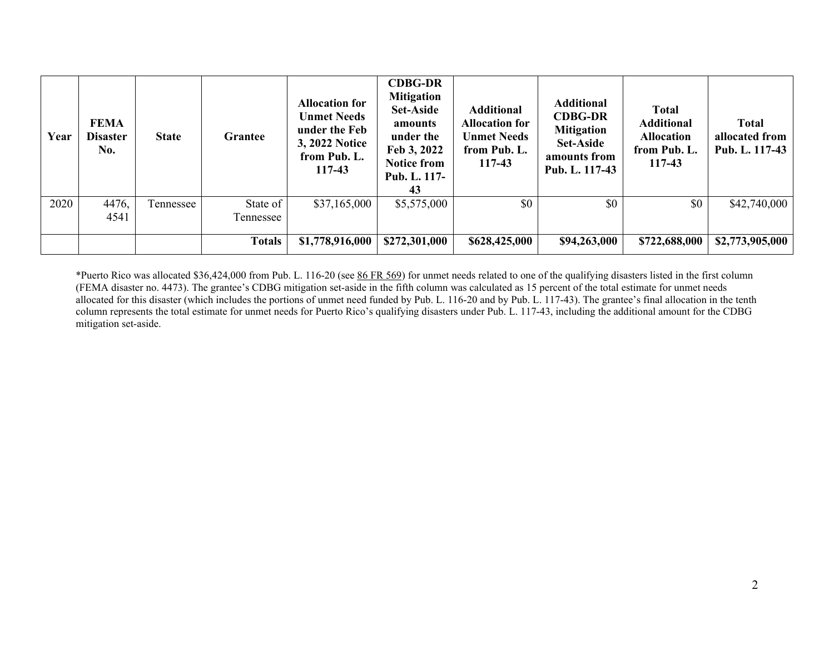| Year | <b>FEMA</b><br><b>Disaster</b><br>No. | <b>State</b> | Grantee       | <b>Allocation for</b><br><b>Unmet Needs</b><br>under the Feb<br>3, 2022 Notice<br>from Pub. L.<br>117-43 | <b>CDBG-DR</b><br><b>Mitigation</b><br><b>Set-Aside</b><br>amounts<br>under the<br>Feb 3, 2022<br><b>Notice from</b><br>Pub. L. 117-<br>43 | <b>Additional</b><br><b>Allocation for</b><br><b>Unmet Needs</b><br>from Pub. L.<br>117-43 | <b>Additional</b><br><b>CDBG-DR</b><br><b>Mitigation</b><br><b>Set-Aside</b><br>amounts from<br>Pub. L. 117-43 | <b>Total</b><br><b>Additional</b><br><b>Allocation</b><br>from Pub. L.<br>117-43 | <b>Total</b><br>allocated from<br>Pub. L. 117-43 |
|------|---------------------------------------|--------------|---------------|----------------------------------------------------------------------------------------------------------|--------------------------------------------------------------------------------------------------------------------------------------------|--------------------------------------------------------------------------------------------|----------------------------------------------------------------------------------------------------------------|----------------------------------------------------------------------------------|--------------------------------------------------|
| 2020 | 4476,                                 | Tennessee    | State of      | \$37,165,000                                                                                             | \$5,575,000                                                                                                                                | \$0                                                                                        | \$0                                                                                                            | \$0                                                                              | \$42,740,000                                     |
|      | 4541                                  |              | Tennessee     |                                                                                                          |                                                                                                                                            |                                                                                            |                                                                                                                |                                                                                  |                                                  |
|      |                                       |              | <b>Totals</b> | \$1,778,916,000                                                                                          | \$272,301,000                                                                                                                              | \$628,425,000                                                                              | \$94,263,000                                                                                                   | \$722,688,000                                                                    | \$2,773,905,000                                  |

\*Puerto Rico was allocated \$36,424,000 from Pub. L. 116-20 (see [86 FR 569\)](https://www.govinfo.gov/content/pkg/FR-2021-01-06/pdf/2020-29262.pdf) for unmet needs related to one of the qualifying disasters listed in the first column (FEMA disaster no. 4473). The grantee's CDBG mitigation set-aside in the fifth column was calculated as 15 percent of the total estimate for unmet needs allocated for this disaster (which includes the portions of unmet need funded by Pub. L. 116-20 and by Pub. L. 117-43). The grantee's final allocation in the tenth column represents the total estimate for unmet needs for Puerto Rico's qualifying disasters under Pub. L. 117-43, including the additional amount for the CDBG mitigation set-aside.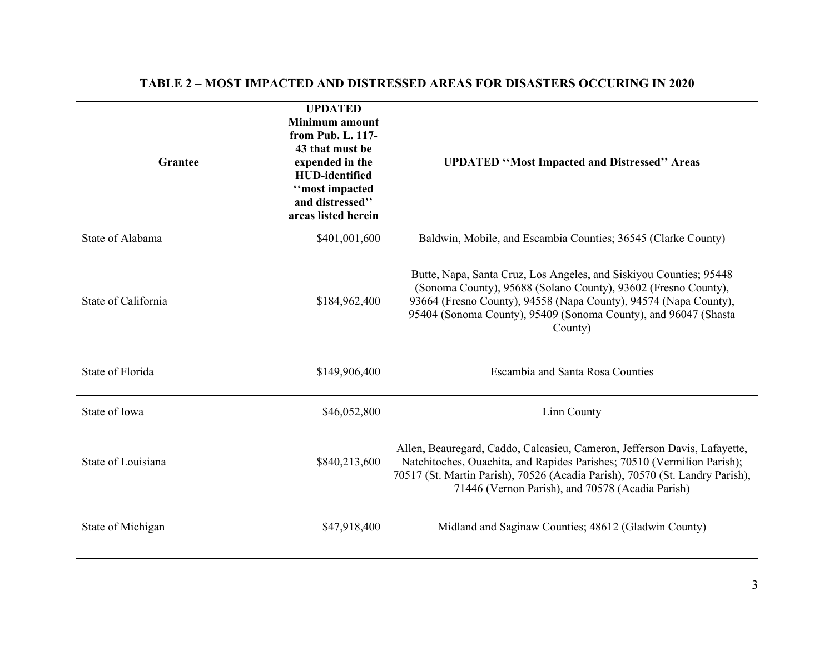| <b>Grantee</b>      | <b>UPDATED</b><br><b>Minimum</b> amount<br>from Pub. L. 117-<br>43 that must be<br>expended in the<br><b>HUD-identified</b><br>"most impacted<br>and distressed"<br>areas listed herein | <b>UPDATED "Most Impacted and Distressed" Areas</b>                                                                                                                                                                                                                                      |
|---------------------|-----------------------------------------------------------------------------------------------------------------------------------------------------------------------------------------|------------------------------------------------------------------------------------------------------------------------------------------------------------------------------------------------------------------------------------------------------------------------------------------|
| State of Alabama    | \$401,001,600                                                                                                                                                                           | Baldwin, Mobile, and Escambia Counties; 36545 (Clarke County)                                                                                                                                                                                                                            |
| State of California | \$184,962,400                                                                                                                                                                           | Butte, Napa, Santa Cruz, Los Angeles, and Siskiyou Counties; 95448<br>(Sonoma County), 95688 (Solano County), 93602 (Fresno County),<br>93664 (Fresno County), 94558 (Napa County), 94574 (Napa County),<br>95404 (Sonoma County), 95409 (Sonoma County), and 96047 (Shasta<br>County)   |
| State of Florida    | \$149,906,400                                                                                                                                                                           | <b>Escambia and Santa Rosa Counties</b>                                                                                                                                                                                                                                                  |
| State of Iowa       | \$46,052,800                                                                                                                                                                            | Linn County                                                                                                                                                                                                                                                                              |
| State of Louisiana  | \$840,213,600                                                                                                                                                                           | Allen, Beauregard, Caddo, Calcasieu, Cameron, Jefferson Davis, Lafayette,<br>Natchitoches, Ouachita, and Rapides Parishes; 70510 (Vermilion Parish);<br>70517 (St. Martin Parish), 70526 (Acadia Parish), 70570 (St. Landry Parish),<br>71446 (Vernon Parish), and 70578 (Acadia Parish) |
| State of Michigan   | \$47,918,400                                                                                                                                                                            | Midland and Saginaw Counties; 48612 (Gladwin County)                                                                                                                                                                                                                                     |

## **TABLE 2 – MOST IMPACTED AND DISTRESSED AREAS FOR DISASTERS OCCURING IN 2020**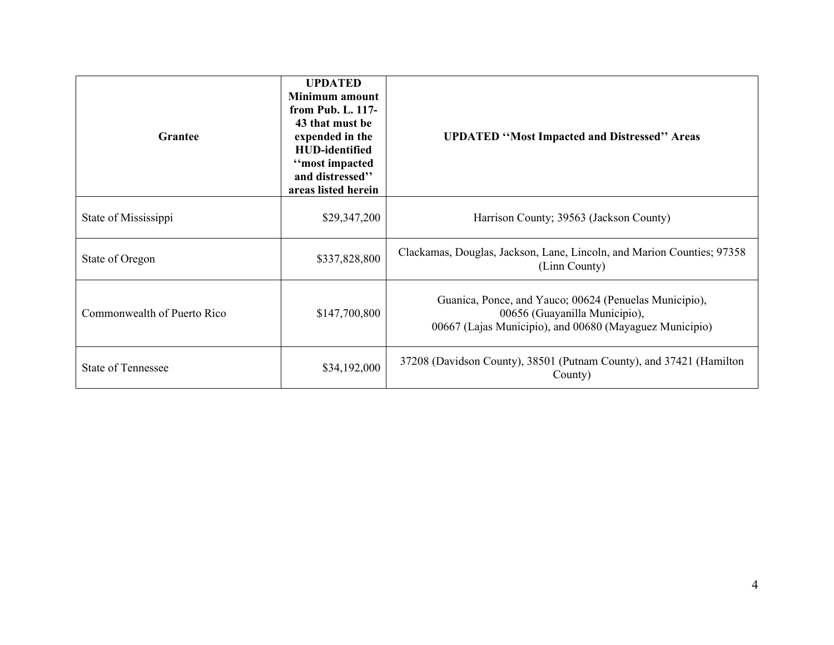| <b>Grantee</b>              | <b>UPDATED</b><br><b>Minimum</b> amount<br>from Pub. L. 117-<br>43 that must be<br>expended in the<br><b>HUD-identified</b><br>"most impacted<br>and distressed"<br>areas listed herein | <b>UPDATED "Most Impacted and Distressed" Areas</b>                                                                                                |
|-----------------------------|-----------------------------------------------------------------------------------------------------------------------------------------------------------------------------------------|----------------------------------------------------------------------------------------------------------------------------------------------------|
| State of Mississippi        | \$29,347,200                                                                                                                                                                            | Harrison County; 39563 (Jackson County)                                                                                                            |
| State of Oregon             | \$337,828,800                                                                                                                                                                           | Clackamas, Douglas, Jackson, Lane, Lincoln, and Marion Counties; 97358<br>(Linn County)                                                            |
| Commonwealth of Puerto Rico | \$147,700,800                                                                                                                                                                           | Guanica, Ponce, and Yauco; 00624 (Penuelas Municipio),<br>00656 (Guayanilla Municipio),<br>00667 (Lajas Municipio), and 00680 (Mayaguez Municipio) |
| <b>State of Tennessee</b>   | \$34,192,000                                                                                                                                                                            | 37208 (Davidson County), 38501 (Putnam County), and 37421 (Hamilton<br>County)                                                                     |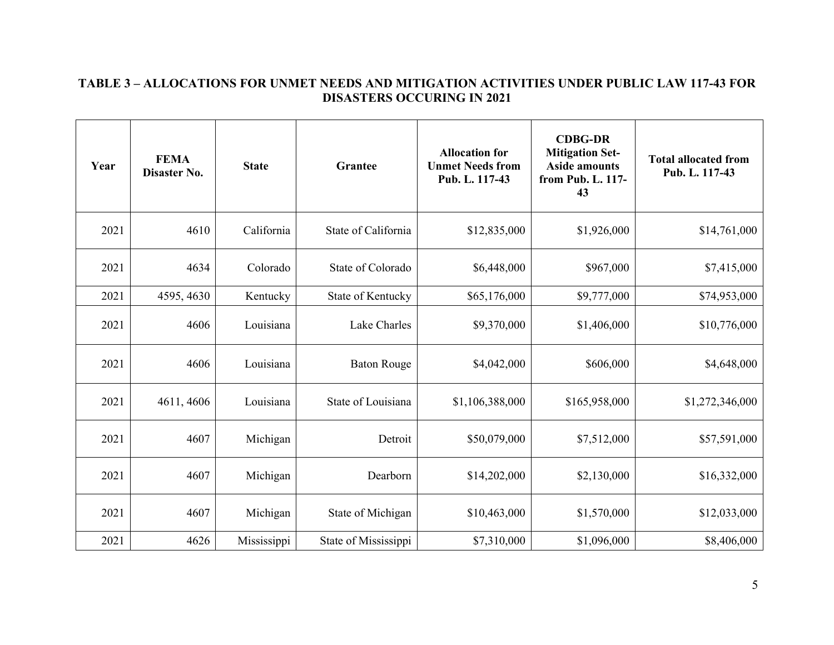### **TABLE 3 – ALLOCATIONS FOR UNMET NEEDS AND MITIGATION ACTIVITIES UNDER PUBLIC LAW 117-43 FOR DISASTERS OCCURING IN 2021**

| Year | <b>FEMA</b><br>Disaster No. | <b>State</b> | <b>Grantee</b>       | <b>Allocation for</b><br><b>Unmet Needs from</b><br>Pub. L. 117-43 | <b>CDBG-DR</b><br><b>Mitigation Set-</b><br><b>Aside amounts</b><br>from Pub. L. 117-<br>43 | <b>Total allocated from</b><br>Pub. L. 117-43 |
|------|-----------------------------|--------------|----------------------|--------------------------------------------------------------------|---------------------------------------------------------------------------------------------|-----------------------------------------------|
| 2021 | 4610                        | California   | State of California  | \$12,835,000                                                       | \$1,926,000                                                                                 | \$14,761,000                                  |
| 2021 | 4634                        | Colorado     | State of Colorado    | \$6,448,000                                                        | \$967,000                                                                                   | \$7,415,000                                   |
| 2021 | 4595, 4630                  | Kentucky     | State of Kentucky    | \$65,176,000                                                       | \$9,777,000                                                                                 | \$74,953,000                                  |
| 2021 | 4606                        | Louisiana    | Lake Charles         | \$9,370,000                                                        | \$1,406,000                                                                                 | \$10,776,000                                  |
| 2021 | 4606                        | Louisiana    | <b>Baton Rouge</b>   | \$4,042,000                                                        | \$606,000                                                                                   | \$4,648,000                                   |
| 2021 | 4611, 4606                  | Louisiana    | State of Louisiana   | \$1,106,388,000                                                    | \$165,958,000                                                                               | \$1,272,346,000                               |
| 2021 | 4607                        | Michigan     | Detroit              | \$50,079,000                                                       | \$7,512,000                                                                                 | \$57,591,000                                  |
| 2021 | 4607                        | Michigan     | Dearborn             | \$14,202,000                                                       | \$2,130,000                                                                                 | \$16,332,000                                  |
| 2021 | 4607                        | Michigan     | State of Michigan    | \$10,463,000                                                       | \$1,570,000                                                                                 | \$12,033,000                                  |
| 2021 | 4626                        | Mississippi  | State of Mississippi | \$7,310,000                                                        | \$1,096,000                                                                                 | \$8,406,000                                   |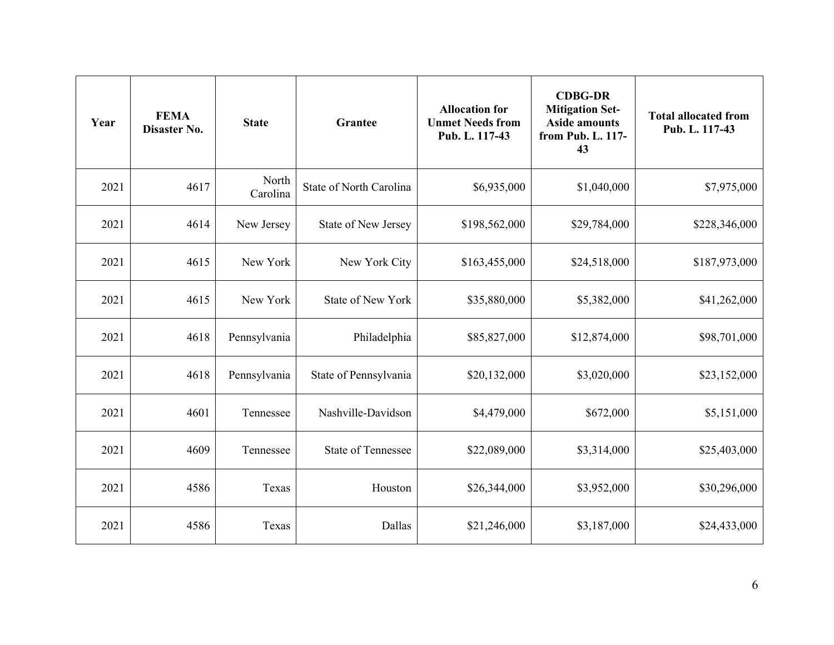| Year | <b>FEMA</b><br>Disaster No. | <b>State</b>      | <b>Grantee</b>            | <b>Allocation for</b><br><b>Unmet Needs from</b><br>Pub. L. 117-43 | <b>CDBG-DR</b><br><b>Mitigation Set-</b><br><b>Aside amounts</b><br>from Pub. L. 117-<br>43 | <b>Total allocated from</b><br>Pub. L. 117-43 |
|------|-----------------------------|-------------------|---------------------------|--------------------------------------------------------------------|---------------------------------------------------------------------------------------------|-----------------------------------------------|
| 2021 | 4617                        | North<br>Carolina | State of North Carolina   | \$6,935,000                                                        | \$1,040,000                                                                                 | \$7,975,000                                   |
| 2021 | 4614                        | New Jersey        | State of New Jersey       | \$198,562,000                                                      | \$29,784,000                                                                                | \$228,346,000                                 |
| 2021 | 4615                        | New York          | New York City             | \$163,455,000                                                      | \$24,518,000                                                                                | \$187,973,000                                 |
| 2021 | 4615                        | New York          | <b>State of New York</b>  | \$35,880,000                                                       | \$5,382,000                                                                                 | \$41,262,000                                  |
| 2021 | 4618                        | Pennsylvania      | Philadelphia              | \$85,827,000                                                       | \$12,874,000                                                                                | \$98,701,000                                  |
| 2021 | 4618                        | Pennsylvania      | State of Pennsylvania     | \$20,132,000                                                       | \$3,020,000                                                                                 | \$23,152,000                                  |
| 2021 | 4601                        | Tennessee         | Nashville-Davidson        | \$4,479,000                                                        | \$672,000                                                                                   | \$5,151,000                                   |
| 2021 | 4609                        | Tennessee         | <b>State of Tennessee</b> | \$22,089,000                                                       | \$3,314,000                                                                                 | \$25,403,000                                  |
| 2021 | 4586                        | Texas             | Houston                   | \$26,344,000                                                       | \$3,952,000                                                                                 | \$30,296,000                                  |
| 2021 | 4586                        | Texas             | Dallas                    | \$21,246,000                                                       | \$3,187,000                                                                                 | \$24,433,000                                  |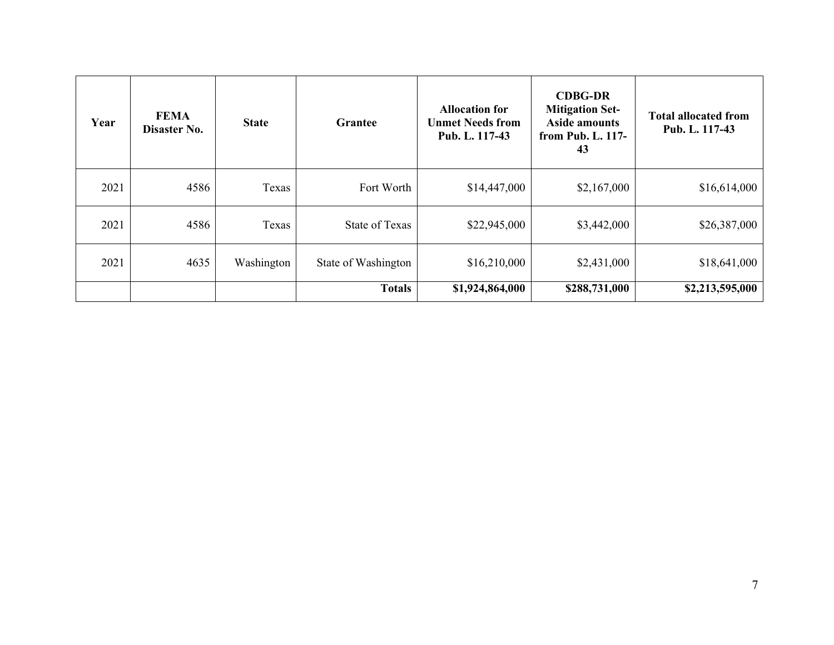| Year | <b>FEMA</b><br>Disaster No. | <b>State</b> | <b>Grantee</b>      | <b>Allocation for</b><br><b>Unmet Needs from</b><br>Pub. L. 117-43 | <b>CDBG-DR</b><br><b>Mitigation Set-</b><br><b>Aside amounts</b><br>from Pub. L. 117-<br>43 | <b>Total allocated from</b><br>Pub. L. 117-43 |
|------|-----------------------------|--------------|---------------------|--------------------------------------------------------------------|---------------------------------------------------------------------------------------------|-----------------------------------------------|
| 2021 | 4586                        | Texas        | Fort Worth          | \$14,447,000                                                       | \$2,167,000                                                                                 | \$16,614,000                                  |
| 2021 | 4586                        | Texas        | State of Texas      | \$22,945,000                                                       | \$3,442,000                                                                                 | \$26,387,000                                  |
| 2021 | 4635                        | Washington   | State of Washington | \$16,210,000                                                       | \$2,431,000                                                                                 | \$18,641,000                                  |
|      |                             |              | <b>Totals</b>       | \$1,924,864,000                                                    | \$288,731,000                                                                               | \$2,213,595,000                               |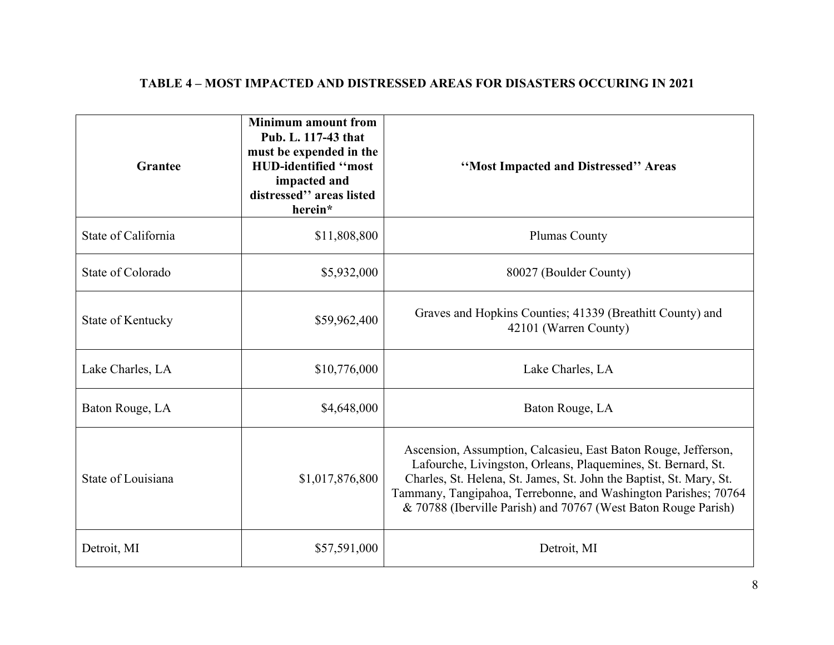# **TABLE 4 – MOST IMPACTED AND DISTRESSED AREAS FOR DISASTERS OCCURING IN 2021**

| Grantee             | <b>Minimum amount from</b><br>Pub. L. 117-43 that<br>must be expended in the<br><b>HUD-identified "most</b><br>impacted and<br>distressed" areas listed<br>herein* | "Most Impacted and Distressed" Areas                                                                                                                                                                                                                                                                                                        |
|---------------------|--------------------------------------------------------------------------------------------------------------------------------------------------------------------|---------------------------------------------------------------------------------------------------------------------------------------------------------------------------------------------------------------------------------------------------------------------------------------------------------------------------------------------|
| State of California | \$11,808,800                                                                                                                                                       | <b>Plumas County</b>                                                                                                                                                                                                                                                                                                                        |
| State of Colorado   | \$5,932,000                                                                                                                                                        | 80027 (Boulder County)                                                                                                                                                                                                                                                                                                                      |
| State of Kentucky   | \$59,962,400                                                                                                                                                       | Graves and Hopkins Counties; 41339 (Breathitt County) and<br>42101 (Warren County)                                                                                                                                                                                                                                                          |
| Lake Charles, LA    | \$10,776,000                                                                                                                                                       | Lake Charles, LA                                                                                                                                                                                                                                                                                                                            |
| Baton Rouge, LA     | \$4,648,000                                                                                                                                                        | Baton Rouge, LA                                                                                                                                                                                                                                                                                                                             |
| State of Louisiana  | \$1,017,876,800                                                                                                                                                    | Ascension, Assumption, Calcasieu, East Baton Rouge, Jefferson,<br>Lafourche, Livingston, Orleans, Plaquemines, St. Bernard, St.<br>Charles, St. Helena, St. James, St. John the Baptist, St. Mary, St.<br>Tammany, Tangipahoa, Terrebonne, and Washington Parishes; 70764<br>& 70788 (Iberville Parish) and 70767 (West Baton Rouge Parish) |
| Detroit, MI         | \$57,591,000                                                                                                                                                       | Detroit, MI                                                                                                                                                                                                                                                                                                                                 |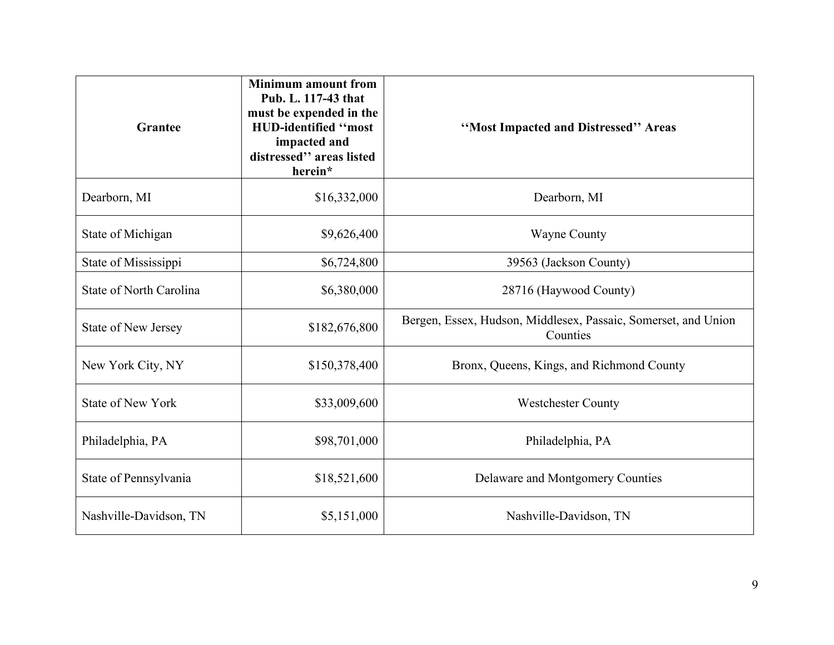| <b>Grantee</b>                 | <b>Minimum amount from</b><br>Pub. L. 117-43 that<br>must be expended in the<br>HUD-identified "most<br>impacted and<br>distressed" areas listed<br>herein* | "Most Impacted and Distressed" Areas                                       |
|--------------------------------|-------------------------------------------------------------------------------------------------------------------------------------------------------------|----------------------------------------------------------------------------|
| Dearborn, MI                   | \$16,332,000                                                                                                                                                | Dearborn, MI                                                               |
| State of Michigan              | \$9,626,400                                                                                                                                                 | <b>Wayne County</b>                                                        |
| State of Mississippi           | \$6,724,800                                                                                                                                                 | 39563 (Jackson County)                                                     |
| <b>State of North Carolina</b> | \$6,380,000                                                                                                                                                 | 28716 (Haywood County)                                                     |
| <b>State of New Jersey</b>     | \$182,676,800                                                                                                                                               | Bergen, Essex, Hudson, Middlesex, Passaic, Somerset, and Union<br>Counties |
| New York City, NY              | \$150,378,400                                                                                                                                               | Bronx, Queens, Kings, and Richmond County                                  |
| <b>State of New York</b>       | \$33,009,600                                                                                                                                                | <b>Westchester County</b>                                                  |
| Philadelphia, PA               | \$98,701,000                                                                                                                                                | Philadelphia, PA                                                           |
| State of Pennsylvania          | \$18,521,600                                                                                                                                                | Delaware and Montgomery Counties                                           |
| Nashville-Davidson, TN         | \$5,151,000                                                                                                                                                 | Nashville-Davidson, TN                                                     |